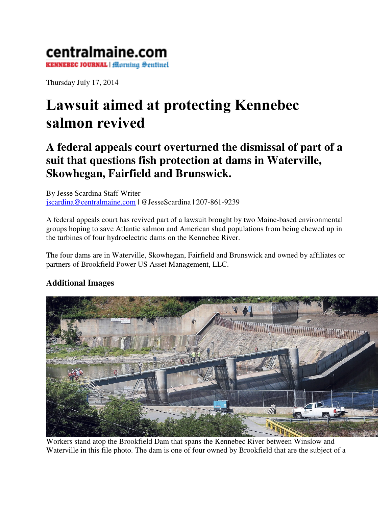## centralmaine.com **KENNEBEC JOURNAL | Morning Sentinel**

Thursday July 17, 2014

## Lawsuit aimed at protecting Kennebec salmon revived

## **A federal appeals court overturned the dismissal of part of a suit that questions fish protection at dams in Waterville, Skowhegan, Fairfield and Brunswick.**

By Jesse Scardina Staff Writer jscardina@centralmaine.com | @JesseScardina | 207-861-9239

A federal appeals court has revived part of a lawsuit brought by two Maine-based environmental groups hoping to save Atlantic salmon and American shad populations from being chewed up in the turbines of four hydroelectric dams on the Kennebec River.

The four dams are in Waterville, Skowhegan, Fairfield and Brunswick and owned by affiliates or partners of Brookfield Power US Asset Management, LLC.

## **Additional Images**



Workers stand atop the Brookfield Dam that spans the Kennebec River between Winslow and Waterville in this file photo. The dam is one of four owned by Brookfield that are the subject of a